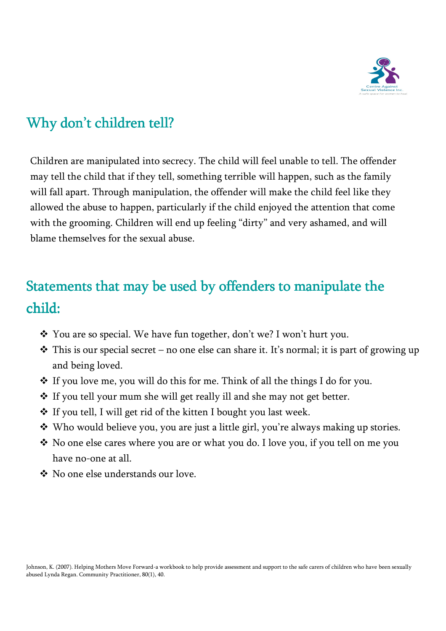

## Why don't children tell?

Children are manipulated into secrecy. The child will feel unable to tell. The offender may tell the child that if they tell, something terrible will happen, such as the family will fall apart. Through manipulation, the offender will make the child feel like they allowed the abuse to happen, particularly if the child enjoyed the attention that come with the grooming. Children will end up feeling "dirty" and very ashamed, and will blame themselves for the sexual abuse.

## Statements that may be used by offenders to manipulate the child:

- You are so special. We have fun together, don't we? I won't hurt you.
- $\cdot$  This is our special secret no one else can share it. It's normal; it is part of growing up and being loved.
- $\cdot$  If you love me, you will do this for me. Think of all the things I do for you.
- ❖ If you tell your mum she will get really ill and she may not get better.
- ◆ If you tell, I will get rid of the kitten I bought you last week.
- Who would believe you, you are just a little girl, you're always making up stories.
- $\cdot$  No one else cares where you are or what you do. I love you, if you tell on me you have no-one at all.
- No one else understands our love.